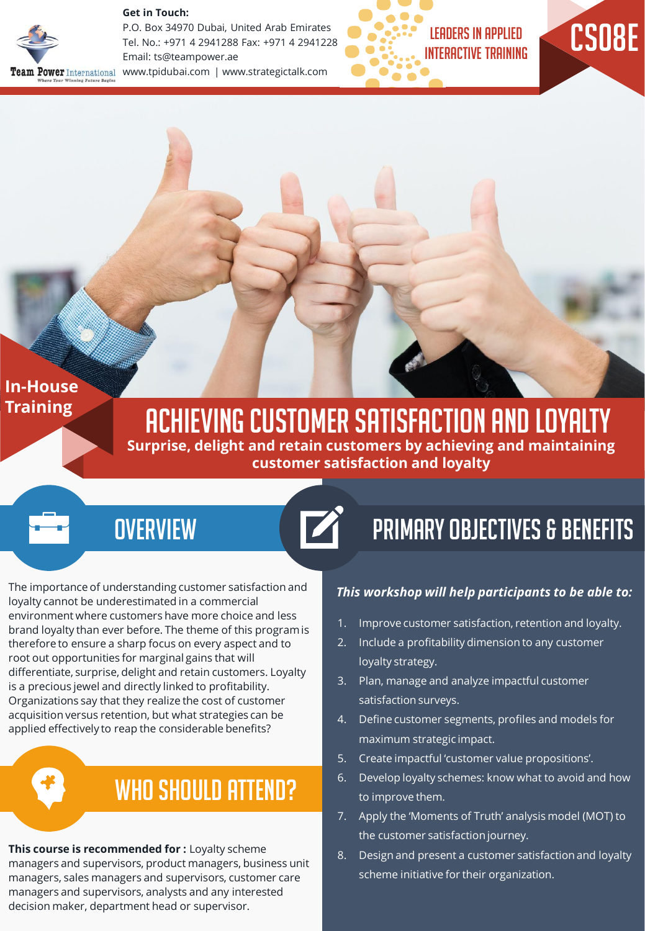#### **Get in Touch:**



P.O. Box 34970 Dubai, United Arab Emirates Tel. No.: +971 4 2941288 Fax: +971 4 2941228 Email: ts@teampower.ae www.tpidubai.com | www.strategictalk.com





**In-House Training** 

## Achieving Customer Satisfaction And Loyalty

**Surprise, delight and retain customers by achieving and maintaining customer satisfaction and loyalty** 

### **OVERVIEW**

The importance of understanding customer satisfaction and loyalty cannot be underestimated in a commercial environment where customers have more choice and less brand loyalty than ever before. The theme of this program is therefore to ensure a sharp focus on every aspect and to root out opportunities for marginal gains that will differentiate, surprise, delight and retain customers. Loyalty is a precious jewel and directly linked to profitability. Organizations say that they realize the cost of customer acquisition versus retention, but what strategies can be applied effectively to reap the considerable benefits?

## WHO SHOULD ATTEND?

**This course is recommended for :** Loyalty scheme managers and supervisors, product managers, business unit managers, sales managers and supervisors, customer care managers and supervisors, analysts and any interested decision maker, department head or supervisor.

# Primary Objectives & Benefits

#### *This workshop will help participants to be able to:*

- 1. Improve customer satisfaction, retention and loyalty.
- 2. Include a profitability dimension to any customer loyalty strategy.
- 3. Plan, manage and analyze impactful customer satisfaction surveys.
- 4. Define customer segments, profiles and models for maximum strategic impact.
- 5. Create impactful 'customer value propositions'.
- 6. Develop loyalty schemes: know what to avoid and how to improve them.
- 7. Apply the 'Moments of Truth' analysis model (MOT) to the customer satisfaction journey.
- 8. Design and present a customer satisfaction and loyalty scheme initiative for their organization.